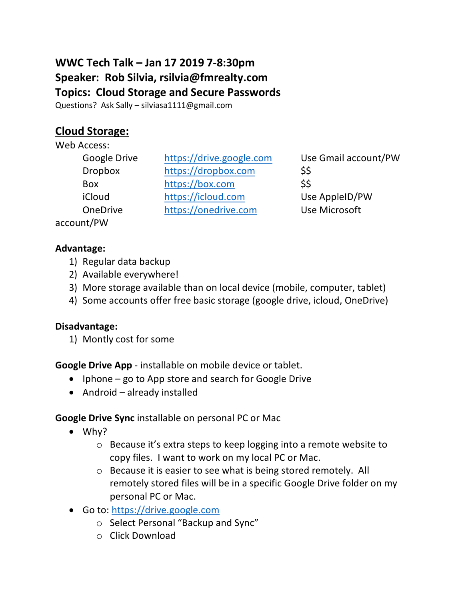# **WWC Tech Talk – Jan 17 2019 7-8:30pm Speaker: Rob Silvia, rsilvia@fmrealty.com Topics: Cloud Storage and Secure Passwords**

Questions? Ask Sally – silviasa1111@gmail.com

## **Cloud Storage:**

Web Access:

- account/PW
- Google Drive https://drive.google.com Use Gmail account/PW Dropbox https://dropbox.com \$\$ Box https://box.com \$\$ iCloud https://icloud.com Use AppleID/PW OneDrive https://onedrive.com Use Microsoft

#### **Advantage:**

- 1) Regular data backup
- 2) Available everywhere!
- 3) More storage available than on local device (mobile, computer, tablet)
- 4) Some accounts offer free basic storage (google drive, icloud, OneDrive)

#### **Disadvantage:**

1) Montly cost for some

**Google Drive App** - installable on mobile device or tablet.

- Iphone go to App store and search for Google Drive
- Android already installed

### **Google Drive Sync** installable on personal PC or Mac

- Why?
	- o Because it's extra steps to keep logging into a remote website to copy files. I want to work on my local PC or Mac.
	- o Because it is easier to see what is being stored remotely. All remotely stored files will be in a specific Google Drive folder on my personal PC or Mac.
- Go to: https://drive.google.com
	- o Select Personal "Backup and Sync"
	- o Click Download